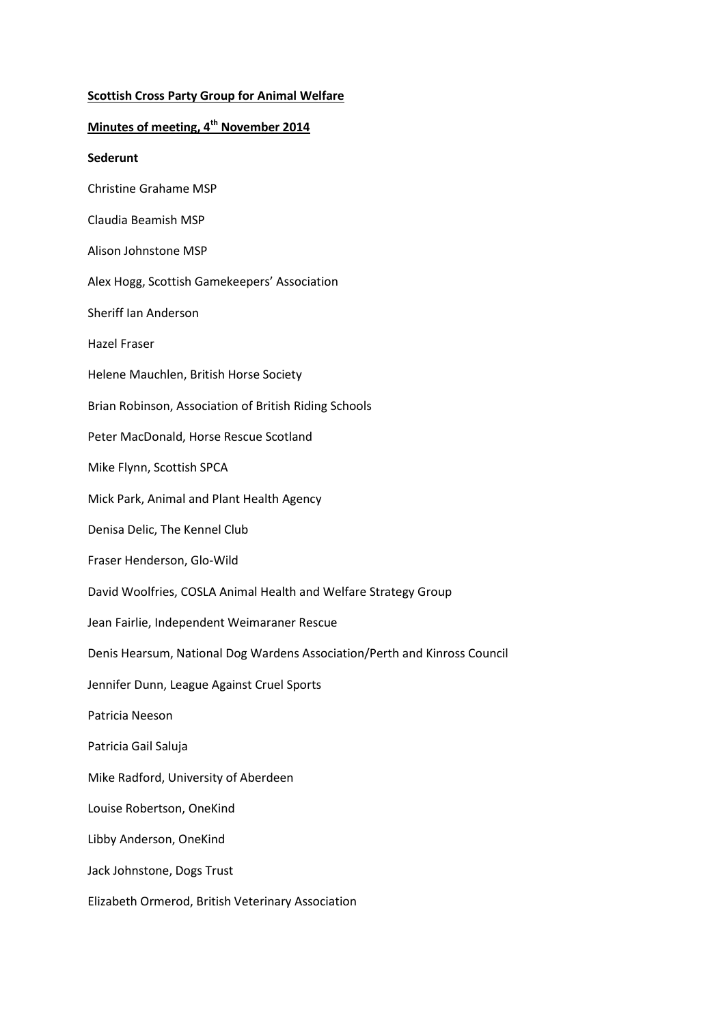# **Scottish Cross Party Group for Animal Welfare**

# **Minutes of meeting, 4th November 2014**

#### **Sederunt**

- Christine Grahame MSP
- Claudia Beamish MSP
- Alison Johnstone MSP
- Alex Hogg, Scottish Gamekeepers' Association
- Sheriff Ian Anderson
- Hazel Fraser
- Helene Mauchlen, British Horse Society
- Brian Robinson, Association of British Riding Schools
- Peter MacDonald, Horse Rescue Scotland
- Mike Flynn, Scottish SPCA
- Mick Park, Animal and Plant Health Agency
- Denisa Delic, The Kennel Club
- Fraser Henderson, Glo-Wild
- David Woolfries, COSLA Animal Health and Welfare Strategy Group
- Jean Fairlie, Independent Weimaraner Rescue
- Denis Hearsum, National Dog Wardens Association/Perth and Kinross Council
- Jennifer Dunn, League Against Cruel Sports
- Patricia Neeson
- Patricia Gail Saluja
- Mike Radford, University of Aberdeen
- Louise Robertson, OneKind
- Libby Anderson, OneKind
- Jack Johnstone, Dogs Trust
- Elizabeth Ormerod, British Veterinary Association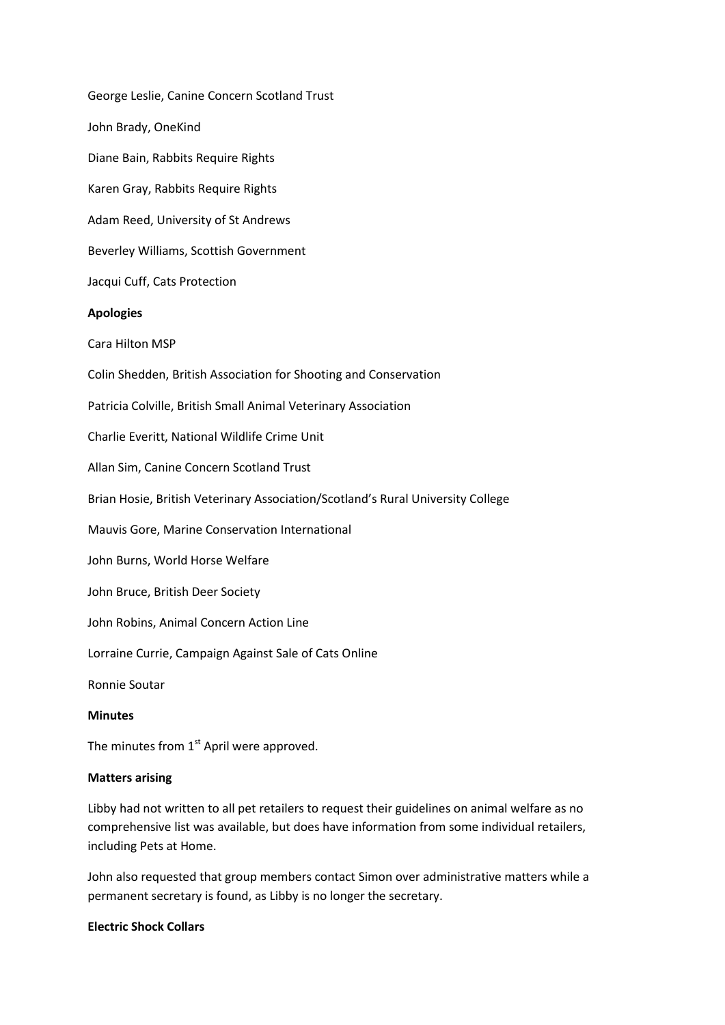George Leslie, Canine Concern Scotland Trust John Brady, OneKind Diane Bain, Rabbits Require Rights Karen Gray, Rabbits Require Rights Adam Reed, University of St Andrews Beverley Williams, Scottish Government Jacqui Cuff, Cats Protection **Apologies** Cara Hilton MSP Colin Shedden, British Association for Shooting and Conservation Patricia Colville, British Small Animal Veterinary Association Charlie Everitt, National Wildlife Crime Unit Allan Sim, Canine Concern Scotland Trust Brian Hosie, British Veterinary Association/Scotland's Rural University College Mauvis Gore, Marine Conservation International John Burns, World Horse Welfare John Bruce, British Deer Society John Robins, Animal Concern Action Line Lorraine Currie, Campaign Against Sale of Cats Online Ronnie Soutar

# **Minutes**

The minutes from  $1<sup>st</sup>$  April were approved.

#### **Matters arising**

Libby had not written to all pet retailers to request their guidelines on animal welfare as no comprehensive list was available, but does have information from some individual retailers, including Pets at Home.

John also requested that group members contact Simon over administrative matters while a permanent secretary is found, as Libby is no longer the secretary.

## **Electric Shock Collars**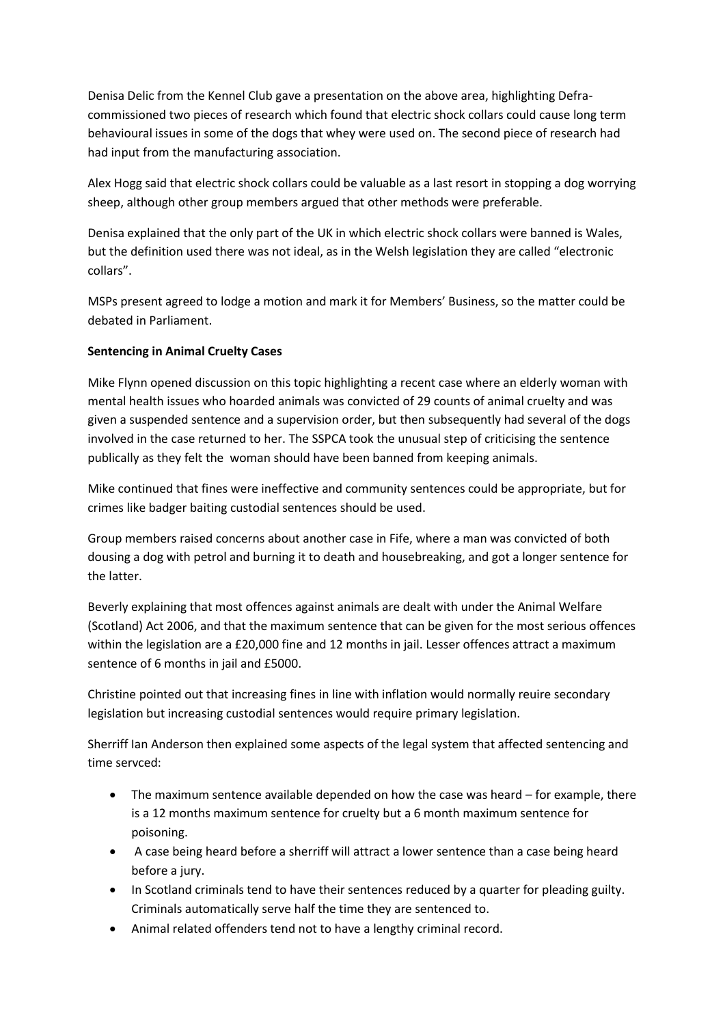Denisa Delic from the Kennel Club gave a presentation on the above area, highlighting Defracommissioned two pieces of research which found that electric shock collars could cause long term behavioural issues in some of the dogs that whey were used on. The second piece of research had had input from the manufacturing association.

Alex Hogg said that electric shock collars could be valuable as a last resort in stopping a dog worrying sheep, although other group members argued that other methods were preferable.

Denisa explained that the only part of the UK in which electric shock collars were banned is Wales, but the definition used there was not ideal, as in the Welsh legislation they are called "electronic collars".

MSPs present agreed to lodge a motion and mark it for Members' Business, so the matter could be debated in Parliament.

# **Sentencing in Animal Cruelty Cases**

Mike Flynn opened discussion on this topic highlighting a recent case where an elderly woman with mental health issues who hoarded animals was convicted of 29 counts of animal cruelty and was given a suspended sentence and a supervision order, but then subsequently had several of the dogs involved in the case returned to her. The SSPCA took the unusual step of criticising the sentence publically as they felt the woman should have been banned from keeping animals.

Mike continued that fines were ineffective and community sentences could be appropriate, but for crimes like badger baiting custodial sentences should be used.

Group members raised concerns about another case in Fife, where a man was convicted of both dousing a dog with petrol and burning it to death and housebreaking, and got a longer sentence for the latter.

Beverly explaining that most offences against animals are dealt with under the Animal Welfare (Scotland) Act 2006, and that the maximum sentence that can be given for the most serious offences within the legislation are a £20,000 fine and 12 months in jail. Lesser offences attract a maximum sentence of 6 months in jail and £5000.

Christine pointed out that increasing fines in line with inflation would normally reuire secondary legislation but increasing custodial sentences would require primary legislation.

Sherriff Ian Anderson then explained some aspects of the legal system that affected sentencing and time servced:

- The maximum sentence available depended on how the case was heard for example, there is a 12 months maximum sentence for cruelty but a 6 month maximum sentence for poisoning.
- A case being heard before a sherriff will attract a lower sentence than a case being heard before a jury.
- In Scotland criminals tend to have their sentences reduced by a quarter for pleading guilty. Criminals automatically serve half the time they are sentenced to.
- Animal related offenders tend not to have a lengthy criminal record.